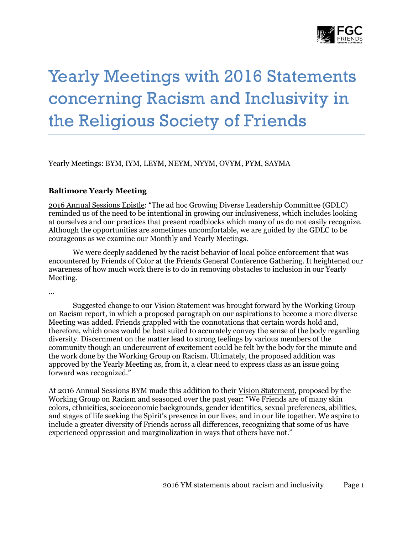

# Yearly Meetings with 2016 Statements concerning Racism and Inclusivity in the Religious Society of Friends

Yearly Meetings: BYM, IYM, LEYM, NEYM, NYYM, OVYM, PYM, SAYMA

## **Baltimore Yearly Meeting**

2016 Annual Sessions Epistle: "The ad hoc Growing Diverse Leadership Committee (GDLC) reminded us of the need to be intentional in growing our inclusiveness, which includes looking at ourselves and our practices that present roadblocks which many of us do not easily recognize. Although the opportunities are sometimes uncomfortable, we are guided by the GDLC to be courageous as we examine our Monthly and Yearly Meetings.

We were deeply saddened by the racist behavior of local police enforcement that was encountered by Friends of Color at the Friends General Conference Gathering. It heightened our awareness of how much work there is to do in removing obstacles to inclusion in our Yearly Meeting.

…

Suggested change to our Vision Statement was brought forward by the Working Group on Racism report, in which a proposed paragraph on our aspirations to become a more diverse Meeting was added. Friends grappled with the connotations that certain words hold and, therefore, which ones would be best suited to accurately convey the sense of the body regarding diversity. Discernment on the matter lead to strong feelings by various members of the community though an undercurrent of excitement could be felt by the body for the minute and the work done by the Working Group on Racism. Ultimately, the proposed addition was approved by the Yearly Meeting as, from it, a clear need to express class as an issue going forward was recognized."

At 2016 Annual Sessions BYM made this addition to their Vision Statement, proposed by the Working Group on Racism and seasoned over the past year: "We Friends are of many skin colors, ethnicities, socioeconomic backgrounds, gender identities, sexual preferences, abilities, and stages of life seeking the Spirit's presence in our lives, and in our life together. We aspire to include a greater diversity of Friends across all differences, recognizing that some of us have experienced oppression and marginalization in ways that others have not."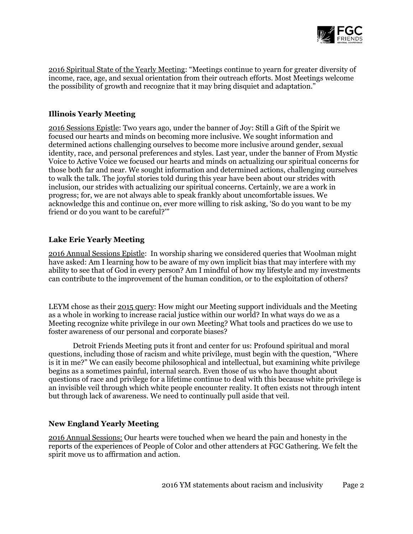

2016 Spiritual State of the Yearly Meeting: "Meetings continue to yearn for greater diversity of income, race, age, and sexual orientation from their outreach efforts. Most Meetings welcome the possibility of growth and recognize that it may bring disquiet and adaptation."

## **Illinois Yearly Meeting**

[2016 Sessions Epistle:](http://www.ilym.org/drupal/sites/default/files/files/Programs/AnnualSessions/2016AnnualSessions/ILYM%202016%20Epistle.pdf) Two years ago, under the banner of Joy: Still a Gift of the Spirit we focused our hearts and minds on becoming more inclusive. We sought information and determined actions challenging ourselves to become more inclusive around gender, sexual identity, race, and personal preferences and styles. Last year, under the banner of From Mystic Voice to Active Voice we focused our hearts and minds on actualizing our spiritual concerns for those both far and near. We sought information and determined actions, challenging ourselves to walk the talk. The joyful stories told during this year have been about our strides with inclusion, our strides with actualizing our spiritual concerns. Certainly, we are a work in progress; for, we are not always able to speak frankly about uncomfortable issues. We acknowledge this and continue on, ever more willing to risk asking, 'So do you want to be my friend or do you want to be careful?'"

## **Lake Erie Yearly Meeting**

2016 Annual Sessions Epistle: In worship sharing we considered queries that Woolman might have asked: Am I learning how to be aware of my own implicit bias that may interfere with my ability to see that of God in every person? Am I mindful of how my lifestyle and my investments can contribute to the improvement of the human condition, or to the exploitation of others?

LEYM chose as their 2015 query: How might our Meeting support individuals and the Meeting as a whole in working to increase racial justice within our world? In what ways do we as a Meeting recognize white privilege in our own Meeting? What tools and practices do we use to foster awareness of our personal and corporate biases?

Detroit Friends Meeting puts it front and center for us: Profound spiritual and moral questions, including those of racism and white privilege, must begin with the question, "Where is it in me?" We can easily become philosophical and intellectual, but examining white privilege begins as a sometimes painful, internal search. Even those of us who have thought about questions of race and privilege for a lifetime continue to deal with this because white privilege is an invisible veil through which white people encounter reality. It often exists not through intent but through lack of awareness. We need to continually pull aside that veil.

#### **New England Yearly Meeting**

2016 Annual Sessions: Our hearts were touched when we heard the pain and honesty in the reports of the experiences of People of Color and other attenders at FGC Gathering. We felt the spirit move us to affirmation and action.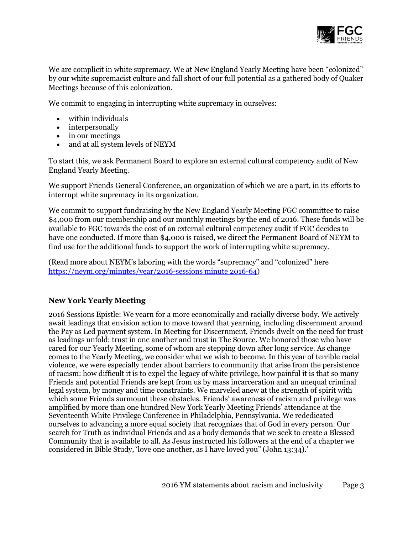

We are complicit in white supremacy. We at New England Yearly Meeting have been "colonized" by our white supremacist culture and fall short of our full potential as a gathered body of Quaker Meetings because of this colonization.

We commit to engaging in interrupting white supremacy in ourselves:

- within individuals
- interpersonally
- in our meetings
- and at all system levels of NEYM

To start this, we ask Permanent Board to explore an external cultural competency audit of New England Yearly Meeting.

We support Friends General Conference, an organization of which we are a part, in its efforts to interrupt white supremacy in its organization.

We commit to support fundraising by the New England Yearly Meeting FGC committee to raise \$4,000 from our membership and our monthly meetings by the end of 2016. These funds will be available to FGC towards the cost of an external cultural competency audit if FGC decides to have one conducted. If more than \$4,000 is raised, we direct the Permanent Board of NEYM to find use for the additional funds to support the work of interrupting white supremacy.

(Read more about NEYM's laboring with the words "supremacy" and "colonized" here [https://neym.org/minutes/year/2016-sessions minute 2016-64\)](https://neym.org/minutes/year/2016-sessions%20minute%202016-64)

# **New York Yearly Meeting**

2016 Sessions Epistle: We yearn for a more economically and racially diverse body. We actively await leadings that envision action to move toward that yearning, including discernment around the Pay as Led payment system. In Meeting for Discernment, Friends dwelt on the need for trust as leadings unfold: trust in one another and trust in The Source. We honored those who have cared for our Yearly Meeting, some of whom are stepping down after long service. As change comes to the Yearly Meeting, we consider what we wish to become. In this year of terrible racial violence, we were especially tender about barriers to community that arise from the persistence of racism: how difficult it is to expel the legacy of white privilege, how painful it is that so many Friends and potential Friends are kept from us by mass incarceration and an unequal criminal legal system, by money and time constraints. We marveled anew at the strength of spirit with which some Friends surmount these obstacles. Friends' awareness of racism and privilege was amplified by more than one hundred New York Yearly Meeting Friends' attendance at the Seventeenth White Privilege Conference in Philadelphia, Pennsylvania. We rededicated ourselves to advancing a more equal society that recognizes that of God in every person. Our search for Truth as individual Friends and as a body demands that we seek to create a Blessed Community that is available to all. As Jesus instructed his followers at the end of a chapter we considered in Bible Study, 'love one another, as I have loved you" (John 13:34).'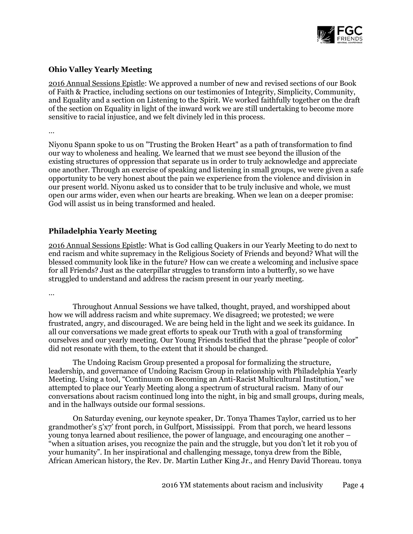

## **Ohio Valley Yearly Meeting**

2016 Annual Sessions Epistle: We approved a number of new and revised sections of our Book of Faith & Practice, including sections on our testimonies of Integrity, Simplicity, Community, and Equality and a section on Listening to the Spirit. We worked faithfully together on the draft of the section on Equality in light of the inward work we are still undertaking to become more sensitive to racial injustice, and we felt divinely led in this process.

…

Niyonu Spann spoke to us on "Trusting the Broken Heart" as a path of transformation to find our way to wholeness and healing. We learned that we must see beyond the illusion of the existing structures of oppression that separate us in order to truly acknowledge and appreciate one another. Through an exercise of speaking and listening in small groups, we were given a safe opportunity to be very honest about the pain we experience from the violence and division in our present world. Niyonu asked us to consider that to be truly inclusive and whole, we must open our arms wider, even when our hearts are breaking. When we lean on a deeper promise: God will assist us in being transformed and healed.

## **Philadelphia Yearly Meeting**

2016 Annual Sessions Epistle: What is God calling Quakers in our Yearly Meeting to do next to end racism and white supremacy in the Religious Society of Friends and beyond? What will the blessed community look like in the future? How can we create a welcoming and inclusive space for all Friends? Just as the caterpillar struggles to transform into a butterfly, so we have struggled to understand and address the racism present in our yearly meeting.

…

Throughout Annual Sessions we have talked, thought, prayed, and worshipped about how we will address racism and white supremacy. We disagreed; we protested; we were frustrated, angry, and discouraged. We are being held in the light and we seek its guidance. In all our conversations we made great efforts to speak our Truth with a goal of transforming ourselves and our yearly meeting. Our Young Friends testified that the phrase "people of color" did not resonate with them, to the extent that it should be changed.

The Undoing Racism Group presented a proposal for formalizing the structure, leadership, and governance of Undoing Racism Group in relationship with Philadelphia Yearly Meeting. Using a tool, "Continuum on Becoming an Anti-Racist Multicultural Institution," we attempted to place our Yearly Meeting along a spectrum of structural racism. Many of our conversations about racism continued long into the night, in big and small groups, during meals, and in the hallways outside our formal sessions.

On Saturday evening, our keynote speaker, Dr. Tonya Thames Taylor, carried us to her grandmother's 5'x7' front porch, in Gulfport, Mississippi. From that porch, we heard lessons young tonya learned about resilience, the power of language, and encouraging one another – "when a situation arises, you recognize the pain and the struggle, but you don't let it rob you of your humanity". In her inspirational and challenging message, tonya drew from the Bible, African American history, the Rev. Dr. Martin Luther King Jr., and Henry David Thoreau. tonya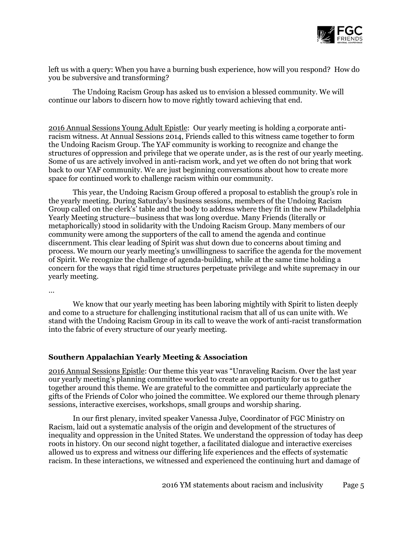

left us with a query: When you have a burning bush experience, how will you respond? How do you be subversive and transforming?

The Undoing Racism Group has asked us to envision a blessed community. We will continue our labors to discern how to move rightly toward achieving that end.

2016 Annual Sessions Young Adult Epistle: Our yearly meeting is holding [a](http://www.pym.org/annual-sessions/previous-years/called-meeting-january-2015/minutes/) [corporate anti](http://www.pym.org/annual-sessions/previous-years/called-meeting-january-2015/minutes/)[racism witness.](http://www.pym.org/annual-sessions/previous-years/called-meeting-january-2015/minutes/) At Annual Sessions 2014, Friends called to this witness came together to form the [Undoing Racism Group.](http://www.pym.org/addressing-racism/undoing-racism-group/) The YAF community is working to recognize and change the structures of oppression and privilege that we operate under, as is the rest of our yearly meeting. Some of us are actively involved in anti-racism work, and yet we often do not bring that work back to our YAF community. We are just beginning conversations about how to create more space for continued work to challenge racism within our community.

This year, the Undoing Racism Group offered a proposal to establish the group's role in the yearly meeting. During Saturday's business sessions, members of the Undoing Racism Group called on the clerk's' table and the body to address where they fit in the new Philadelphia Yearly Meeting structure—business that was long overdue. Many Friends (literally or metaphorically) stood in solidarity with the Undoing Racism Group. Many members of our community were among the supporters of the call to amend the agenda and continue discernment. This clear leading of Spirit was shut down due to concerns about timing and process. We mourn our yearly meeting's unwillingness to sacrifice the agenda for the movement of Spirit. We recognize the challenge of agenda-building, while at the same time holding a concern for the ways that rigid time structures perpetuate privilege and white supremacy in our yearly meeting.

…

We know that our yearly meeting has been laboring mightily with Spirit to listen deeply and come to a structure for challenging institutional racism that all of us can unite with. We stand with the Undoing Racism Group in its call to weave the work of anti-racist transformation into the fabric of every structure of our yearly meeting.

#### **Southern Appalachian Yearly Meeting & Association**

2016 Annual Sessions Epistle: Our theme this year was "Unraveling Racism. Over the last year our yearly meeting's planning committee worked to create an opportunity for us to gather together around this theme. We are grateful to the committee and particularly appreciate the gifts of the Friends of Color who joined the committee. We explored our theme through plenary sessions, interactive exercises, workshops, small groups and worship sharing.

In our first plenary, invited speaker Vanessa Julye, Coordinator of FGC Ministry on Racism, laid out a systematic analysis of the origin and development of the structures of inequality and oppression in the United States. We understand the oppression of today has deep roots in history. On our second night together, a facilitated dialogue and interactive exercises allowed us to express and witness our differing life experiences and the effects of systematic racism. In these interactions, we witnessed and experienced the continuing hurt and damage of